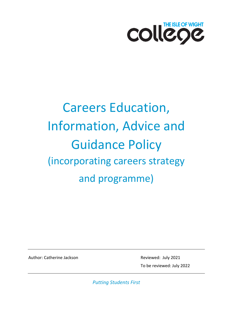

# Careers Education, Information, Advice and Guidance Policy (incorporating careers strategy and programme)

Author: Catherine Jackson **Reviewed: July 2021** 

To be reviewed: July 2022

*Putting Students First*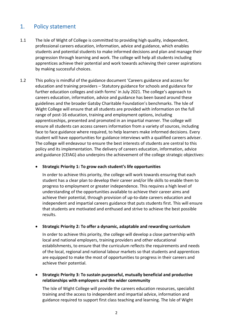## 1. Policy statement

- 1.1 The Isle of Wight of College is committed to providing high quality, independent, professional careers education, information, advice and guidance, which enables students and potential students to make informed decisions and plan and manage their progression through learning and work. The college will help all students including apprentices achieve their potential and work towards achieving their career aspirations by making successful choices.
- 1.2 This policy is mindful of the guidance document 'Careers guidance and access for education and training providers – Statutory guidance for schools and guidance for further education colleges and sixth forms' in July 2021. The college's approach to careers education, information, advice and guidance has been based around these guidelines and the broader Gatsby Charitable Foundation's benchmarks. The Isle of Wight College will ensure that all students are provided with information on the full range of post-16 education, training and employment options, including apprenticeships, presented and promoted in an impartial manner. The college will ensure all students can access careers information from a variety of sources, including face to face guidance where required, to help learners make informed decisions. Every student will have opportunities for guidance interviews with a qualified careers adviser. The college will endeavour to ensure the best interests of students are central to this policy and its implementation. The delivery of careers education, information, advice and guidance (CEIAG) also underpins the achievement of the college strategic objectives:

• **Strategic Priority 1: To grow each student's life opportunities** 

In order to achieve this priority, the college will work towards ensuring that each student has a clear plan to develop their career and/or life skills to enable them to progress to employment or greater independence. This requires a high level of understanding of the opportunities available to achieve their career aims and achieve their potential, through provision of up-to-date careers education and independent and impartial careers guidance that puts students first. This will ensure that students are motivated and enthused and strive to achieve the best possible results.

• **Strategic Priority 2: To offer a dynamic, adaptable and rewarding curriculum** 

In order to achieve this priority, the college will develop a close partnership with local and national employers, training providers and other educational establishments, to ensure that the curriculum reflects the requirements and needs of the local, regional and national labour markets so that students and apprentices are equipped to make the most of opportunities to progress in their careers and achieve their potential.

• **Strategic Priority 3: To sustain purposeful, mutually beneficial and productive relationships with employers and the wider community** 

The Isle of Wight College will provide the careers education resources, specialist training and the access to independent and impartial advice, information and guidance required to support first class teaching and learning. The Isle of Wight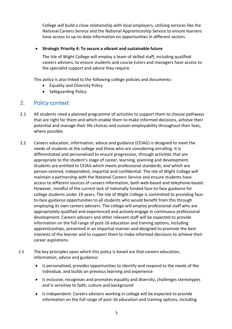College will build a close relationship with local employers, utilising services like the National Careers Service and the National Apprenticeship Service to ensure learners have access to up-to-date information on opportunities in different sectors.

#### • **Strategic Priority 4: To secure a vibrant and sustainable future**

The Isle of Wight College will employ a team of skilled staff, including qualified careers advisers, to ensure students and course tutors and managers have access to the specialist support and advice they require.

This policy is also linked to the following college policies and documents:

- Equality and Diversity Policy
- Safeguarding Policy.

## 2. Policy context

- 2.1 All students need a planned programme of activities to support them to choose pathways that are right for them and which enable them to make informed decisions, achieve their potential and manage their life choices and sustain employability throughout their lives, where possible.
- 2.2 Careers education, information, advice and guidance (CEIAG) is designed to meet the needs of students at the college and those who are considering enrolling. It is differentiated and personalised to ensure progression, through activities that are appropriate to the student's stage of career, learning, planning and development. Students are entitled to CEIAG which meets professional standards, and which are person-centred, independent, impartial and confidential. The Isle of Wight College will maintain a partnership with the National Careers Service and ensure students have access to different sources of careers information, both web-based and telephone-based. However, mindful of the current lack of nationally funded face-to-face guidance for college students under 19 years, The Isle of Wight College is committed to providing faceto-face guidance opportunities to all students who would benefit from this through employing its own careers advisers. The college will employ professional staff who are appropriately qualified and experienced and actively engage in continuous professional development. Careers advisers and other relevant staff will be expected to provide information on the full range of post-16 education and training options, including apprenticeships, presented in an impartial manner and designed to promote the best interests of the learner and to support them to make informed decisions to achieve their career aspirations.
- 2.3 The key principles upon which this policy is based are that careers education, information, advice and guidance:
	- Is personalised, provides opportunities to identify and respond to the needs of the individual, and builds on previous learning and experience
	- Is inclusive, recognises and promotes equality and diversity, challenges stereotypes and is sensitive to faith, culture and background
	- Is independent: Careers advisers working in college will be expected to provide information on the full range of post-16 education and training options, including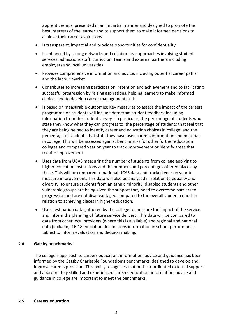apprenticeships, presented in an impartial manner and designed to promote the best interests of the learner and to support them to make informed decisions to achieve their career aspirations

- Is transparent, impartial and provides opportunities for confidentiality
- Is enhanced by strong networks and collaborative approaches involving student services, admissions staff, curriculum teams and external partners including employers and local universities
- Provides comprehensive information and advice, including potential career paths and the labour market
- Contributes to increasing participation, retention and achievement and to facilitating successful progression by raising aspirations, helping learners to make informed choices and to develop career management skills
- Is based on measurable outcomes: Key measures to assess the impact of the careers programme on students will include data from student feedback including information from the student survey - in particular, the percentage of students who state they know what they can progress to: the percentage of students that feel that they are being helped to identify career and education choices in college: and the percentage of students that state they have used careers information and materials in college. This will be assessed against benchmarks for other further education colleges and compared year on year to track improvement or identify areas that require improvement.
- Uses data from UCAS measuring the number of students from college applying to higher education institutions and the numbers and percentages offered places by these. This will be compared to national UCAS data and tracked year on year to measure improvement. This data will also be analysed in relation to equality and diversity, to ensure students from an ethnic minority, disabled students and other vulnerable groups are being given the support they need to overcome barriers to progression and are not disadvantaged compared to the overall student cohort in relation to achieving places in higher education.
- Uses destination data gathered by the college to measure the impact of the service and inform the planning of future service delivery. This data will be compared to data from other local providers (where this is available) and regional and national data (including 16-18 education destinations information in school-performance tables) to inform evaluation and decision making.

#### **2.4 Gatsby benchmarks**

The college's approach to careers education, information, advice and guidance has been informed by the Gatsby Charitable Foundation's benchmarks, designed to develop and improve careers provision. This policy recognises that both co-ordinated external support and appropriately skilled and experienced careers education, information, advice and guidance in college are important to meet the benchmarks.

#### **2.5 Careers education**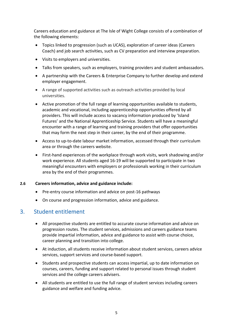Careers education and guidance at The Isle of Wight College consists of a combination of the following elements:

- Topics linked to progression (such as UCAS), exploration of career ideas (Careers Coach) and job search activities, such as CV preparation and interview preparation.
- Visits to employers and universities.
- Talks from speakers, such as employers, training providers and student ambassadors.
- A partnership with the Careers & Enterprise Company to further develop and extend employer engagement.
- A range of supported activities such as outreach activities provided by local universities.
- Active promotion of the full range of learning opportunities available to students, academic and vocational, including apprenticeship opportunities offered by all providers. This will include access to vacancy information produced by 'Island Futures' and the National Apprenticeship Service. Students will have a meaningful encounter with a range of learning and training providers that offer opportunities that may form the next step in their career, by the end of their programme.
- Access to up-to-date labour market information, accessed through their curriculum area or through the careers website.
- First-hand experiences of the workplace through work visits, work shadowing and/or work experience. All students aged 16-19 will be supported to participate in two meaningful encounters with employers or professionals working in their curriculum area by the end of their programmes.

#### **2.6 Careers information, advice and guidance include:**

- Pre-entry course information and advice on post-16 pathways
- On course and progression information, advice and guidance.

## 3. Student entitlement

- All prospective students are entitled to accurate course information and advice on progression routes. The student services, admissions and careers guidance teams provide impartial information, advice and guidance to assist with course choice, career planning and transition into college.
- At induction, all students receive information about student services, careers advice services, support services and course-based support.
- Students and prospective students can access impartial, up to date information on courses, careers, funding and support related to personal issues through student services and the college careers advisers.
- All students are entitled to use the full range of student services including careers guidance and welfare and funding advice.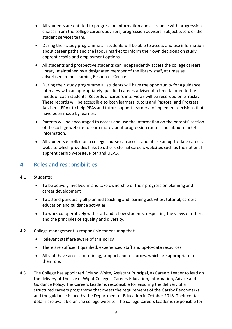- All students are entitled to progression information and assistance with progression choices from the college careers advisers, progression advisers, subject tutors or the student services team.
- During their study programme all students will be able to access and use information about career paths and the labour market to inform their own decisions on study, apprenticeship and employment options.
- All students and prospective students can independently access the college careers library, maintained by a designated member of the library staff, at times as advertised in the Learning Resources Centre.
- During their study programme all students will have the opportunity for a guidance interview with an appropriately qualified careers adviser at a time tailored to the needs of each students. Records of careers interviews will be recorded on eTrackr. These records will be accessible to both learners, tutors and Pastoral and Progress Advisers (PPA), to help PPAs and tutors support learners to implement decisions that have been made by learners.
- Parents will be encouraged to access and use the information on the parents' section of the college website to learn more about progression routes and labour market information.
- All students enrolled on a college course can access and utilise an up-to-date careers website which provides links to other external careers websites such as the national apprenticeship website, Plotr and UCAS.

## 4. Roles and responsibilities

- 4.1 Students:
	- To be actively involved in and take ownership of their progression planning and career development
	- To attend punctually all planned teaching and learning activities, tutorial, careers education and guidance activities
	- To work co-operatively with staff and fellow students, respecting the views of others and the principles of equality and diversity.
- 4.2 College management is responsible for ensuring that:
	- Relevant staff are aware of this policy
	- There are sufficient qualified, experienced staff and up-to-date resources
	- All staff have access to training, support and resources, which are appropriate to their role.
- 4.3 The College has appointed Roland White, Assistant Principal, as Careers Leader to lead on the delivery of The Isle of Wight College's Careers Education, Information, Advice and Guidance Policy. The Careers Leader is responsible for ensuring the delivery of a structured careers programme that meets the requirements of the Gatsby Benchmarks and the guidance issued by the Department of Education in October 2018. Their contact details are available on the college website. The college Careers Leader is responsible for: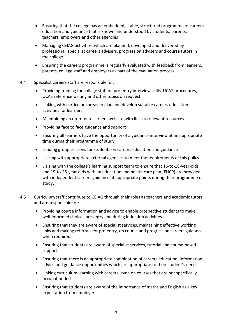- Ensuring that the college has an embedded, stable, structured programme of careers education and guidance that is known and understood by students, parents, teachers, employers and other agencies
- Managing CEIAG activities, which are planned, developed and delivered by professional, specialist careers advisers, progression advisers and course tutors in the college
- Ensuring the careers programme is regularly evaluated with feedback from learners, parents, college staff and employers as part of the evaluation process.
- 4.4 Specialist careers staff are responsible for:
	- Providing training for college staff on pre-entry interview skills, UCAS procedures, UCAS reference writing and other topics on request
	- Linking with curriculum areas to plan and develop suitable careers education activities for learners
	- Maintaining an up-to-date careers website with links to relevant resources
	- Providing face to face guidance and support
	- Ensuring all learners have the opportunity of a guidance interview at an appropriate time during their programme of study
	- Leading group sessions for students on careers education and guidance
	- Liaising with appropriate external agencies to meet the requirements of this policy
	- Liaising with the college's learning support team to ensure that 16-to-18-year-olds and 19-to-25-year-olds with an education and health care plan (EHCP) are provided with independent careers guidance at appropriate points during their programme of study.
- 4.5 Curriculum staff contribute to CEIAG through their roles as teachers and academic tutors, and are responsible for:
	- Providing course information and advice to enable prospective students to make well-informed choices pre-entry and during induction activities
	- Ensuring that they are aware of specialist services, maintaining effective working links and making referrals for pre-entry, on course and progression careers guidance when required
	- Ensuring that students are aware of specialist services, tutorial and course-based support
	- Ensuring that there is an appropriate combination of careers education, information, advice and guidance opportunities which are appropriate to their student's needs
	- Linking curriculum learning with careers, even on courses that are not specifically occupation-led
	- Ensuring that students are aware of the importance of maths and English as a key expectation from employers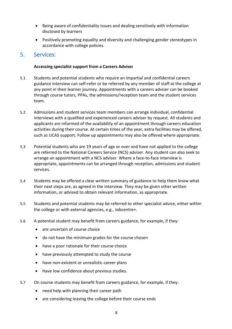- Being aware of confidentiality issues and dealing sensitively with information disclosed by learners
- Positively promoting equality and diversity and challenging gender stereotypes in accordance with college policies.

## 5. Services:

#### **Accessing specialist support from a Careers Adviser**

- 5.1 Students and potential students who require an impartial and confidential careers guidance interview can self-refer or be referred by any member of staff at the college at any point in their learner journey. Appointments with a careers adviser can be booked through course tutors, PPAs, the admissions/reception team and the student services team.
- 5.2 Admissions and student services team members can arrange individual, confidential interviews with a qualified and experienced careers adviser by request. All students and applicants are informed of the availability of an appointment through careers education activities during their course. At certain times of the year, extra facilities may be offered, such as UCAS support. Follow up appointments may also be offered where appropriate.
- 5.3 Potential students who are 19 years of age or over and have not applied to the college are referred to the National Careers Service (NCS) adviser. Any student can also seek to arrange an appointment with a NCS adviser. Where a face-to-face interview is appropriate, appointments can be arranged through reception, admissions and student services.
- 5.4 Students may be offered a clear written summary of guidance to help them know what their next steps are, as agreed in the interview. They may be given other written information, or advised to obtain relevant information, as appropriate.
- 5.5 Students and potential students may be referred to other specialist advice, either within the college or with external agencies, e.g., Jobcentre+.
- 5.6 A potential student may benefit from careers guidance, for example, if they:
	- are uncertain of course choice
	- do not have the minimum grades for the course chosen
	- have a poor rationale for their course choice
	- have previously attempted to study the course
	- have non-existent or unrealistic career plans
	- Have low confidence about previous studies.
- 5.7 On course students may benefit from careers guidance, for example, if they:
	- need help with planning their career path
	- are considering leaving the college before their course ends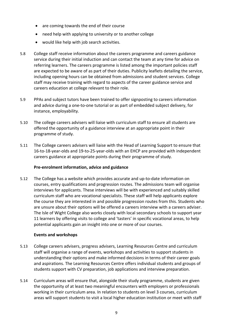- are coming towards the end of their course
- need help with applying to university or to another college
- would like help with job search activities.
- 5.8 College staff receive information about the careers programme and careers guidance service during their initial induction and can contact the team at any time for advice on referring learners. The careers programme is listed among the important policies staff are expected to be aware of as part of their duties. Publicity leaflets detailing the service, including opening hours can be obtained from admissions and student services. College staff may receive training with regard to aspects of the career guidance service and careers education at college relevant to their role.
- 5.9 PPAs and subject tutors have been trained to offer signposting to careers information and advice during a one-to-one tutorial or as part of embedded subject delivery, for instance, employability.
- 5.10 The college careers advisers will liaise with curriculum staff to ensure all students are offered the opportunity of a guidance interview at an appropriate point in their programme of study.
- 5.11 The College careers advisers will liaise with the Head of Learning Support to ensure that 16-to-18-year-olds and 19-to-25-year-olds with an EHCP are provided with independent careers guidance at appropriate points during their programme of study.

#### **Pre-enrolment information, advice and guidance**

5.12 The College has a website which provides accurate and up-to-date information on courses, entry qualifications and progression routes. The admissions team will organise interviews for applicants. These interviews will be with experienced and suitably skilled curriculum staff who are vocational specialists. These staff will help applicants explore the course they are interested in and possible progression routes from this. Students who are unsure about their options will be offered a careers interview with a careers adviser. The Isle of Wight College also works closely with local secondary schools to support year 11 learners by offering visits to college and 'tasters' in specific vocational areas, to help potential applicants gain an insight into one or more of our courses.

#### **Events and workshops**

- 5.13 College careers advisers, progress advisers, Learning Resources Centre and curriculum staff will organise a range of events, workshops and activities to support students in understanding their options and make informed decisions in terms of their career goals and aspirations. The Learning Resources Centre offers individual students and groups of students support with CV preparation, job applications and interview preparation.
- 5.14 Curriculum areas will ensure that, alongside their study programme, students are given the opportunity of at least two meaningful encounters with employers or professionals working in their curriculum area. In relation to students on level 3 courses, curriculum areas will support students to visit a local higher education institution or meet with staff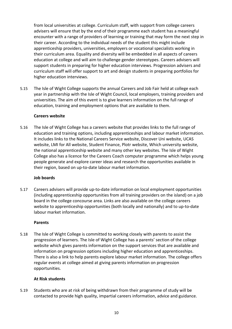from local universities at college. Curriculum staff, with support from college careers advisers will ensure that by the end of their programme each student has a meaningful encounter with a range of providers of learning or training that may form the next step in their career. According to the individual needs of the student this might include apprenticeship providers, universities, employers or vocational specialists working in their curriculum area. Equality and diversity will be embedded in all aspects of careers education at college and will aim to challenge gender stereotypes. Careers advisers will support students in preparing for higher education interviews. Progression advisers and curriculum staff will offer support to art and design students in preparing portfolios for higher education interviews.

5.15 The Isle of Wight College supports the annual Careers and Job Fair held at college each year in partnership with the Isle of Wight Council, local employers, training providers and universities. The aim of this event is to give learners information on the full range of education, training and employment options that are available to them.

#### **Careers website**

5.16 The Isle of Wight College has a careers website that provides links to the full range of education and training options, including apprenticeships and labour market information. It includes links to the National Careers Service website, Discover Uni website, UCAS website, LMI for All website, Student Finance, Plotr website, Which university website, the national apprenticeship website and many other key websites. The Isle of Wight College also has a licence for the Careers Coach computer programme which helps young people generate and explore career ideas and research the opportunities available in their region, based on up-to-date labour market information.

#### **Job boards**

5.17 Careers advisers will provide up-to-date information on local employment opportunities (including apprenticeship opportunities from all training providers on the island) on a job board in the college concourse area. Links are also available on the college careers website to apprenticeship opportunities (both locally and nationally) and to up-to-date labour market information.

#### **Parents**

5.18 The Isle of Wight College is committed to working closely with parents to assist the progression of learners. The Isle of Wight College has a parents' section of the college website which gives parents information on the support services that are available and information on progression options including higher education and apprenticeships. There is also a link to help parents explore labour market information. The college offers regular events at college aimed at giving parents information on progression opportunities.

### **At Risk students**

5.19 Students who are at risk of being withdrawn from their programme of study will be contacted to provide high quality, impartial careers information, advice and guidance.